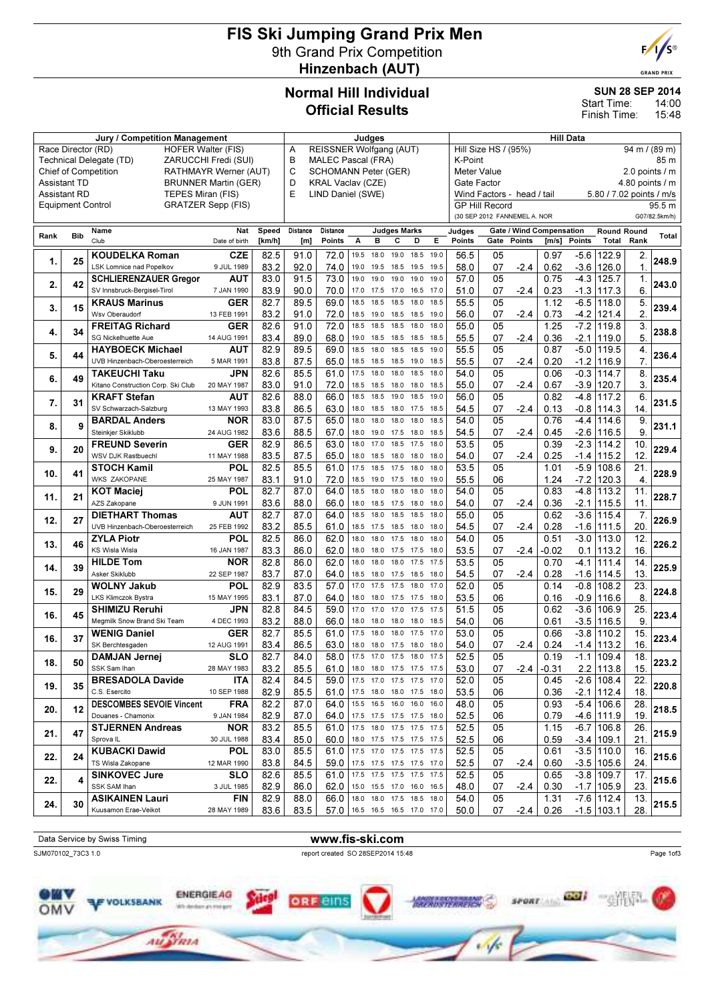# FIS Ski Jumping Grand Prix Men 9th Grand Prix Competition Hinzenbach (AUT)



**GRAND PRIX** 

#### Normal Hill Individual Official Results

#### SUN 28 SEP 2014

14:00 15:48 Start Time: Finish Time:

| REISSNER Wolfgang (AUT)<br>Hill Size HS / (95%)<br>Race Director (RD)<br><b>HOFER Walter (FIS)</b><br>A<br>B<br><b>MALEC Pascal (FRA)</b><br>K-Point<br>Technical Delegate (TD)<br>ZARUCCHI Fredi (SUI)<br>C<br><b>Chief of Competition</b><br><b>SCHOMANN Peter (GER)</b><br>RATHMAYR Werner (AUT)<br>Meter Value<br><b>Assistant TD</b><br>D<br>KRAL Vaclav (CZE)<br>Gate Factor<br><b>BRUNNER Martin (GER)</b><br>E<br><b>Assistant RD</b><br>TEPES Miran (FIS)<br>LIND Daniel (SWE)<br>Wind Factors - head / tail<br>5.80 / 7.02 points / m/s<br><b>GRATZER Sepp (FIS)</b><br><b>GP Hill Record</b><br>Equipment Control<br>(30 SEP 2012 FANNEMEL A. NOR<br><b>Gate / Wind Compensation</b><br>Name<br>Nat<br>Speed<br>Distance<br>Distance<br><b>Judges Marks</b><br>Judges<br><b>Round Round</b><br><b>Bib</b><br>Rank<br>Club<br>Points<br>A<br>в<br>с<br>Е<br>Points<br>Gate<br>Points<br>Points<br>Total<br>Rank<br>[km/h]<br>D<br>$\mathsf{Im/s}$<br>Date of birth<br>[m]<br><b>KOUDELKA Roman</b><br><b>CZE</b><br>82.5<br>56.5<br>05<br>0.97<br>$-5.6$<br>122.9<br>91.0<br>72.0<br>19.5<br>18.0<br>19.0<br>2.<br>18.5<br>19.0<br>25<br>1.<br>1.<br><b>LSK Lomnice nad Popelkov</b><br>9 JUL 1989<br>83.2<br>92.0<br>74.0<br>19.5<br>58.0<br>07<br>$-2.4$<br>0.62<br>$-3.6$<br>126.0<br>19.0<br>19.5<br>18.5<br>19.5<br>73.0<br>57.0<br>05<br>0.75<br>$-4.3$<br>1.<br>AUT<br>83.0<br>91.5<br>125.7<br><b>SCHLIERENZAUER Gregor</b><br>19.0<br>19.0<br>19.0<br>19.0<br>19.0<br>2.<br>42<br>SV Innsbruck-Bergisel-Tirol<br>6.<br>7 JAN 1990<br>83.9<br>90.0<br>70.0<br>17.0<br>51.0<br>07<br>$-2.4$<br>0.23<br>$-1.3$<br>117.3<br>17.5<br>17.0<br>16.5<br>17.0<br>$-6.5$<br>5.<br>89.5<br>69.0<br>55.5<br>05<br>1.12<br><b>KRAUS Marinus</b><br><b>GER</b><br>82.7<br>18.5<br>18.5<br>118.0<br>18.5<br>18.0<br>18.5<br>15<br>3.<br>2.<br>Wsv Oberaudorf<br>83.2<br>91.0<br>72.0<br>18.5<br>56.0<br>07<br>0.73<br>$-4.2$<br>121.4<br>13 FEB 1991<br>19.0<br>18.5<br>18.5<br>19.0<br>-2.4<br>$-7.2$<br>3.<br><b>FREITAG Richard</b><br><b>GER</b><br>72.0<br>05<br>1.25<br>82.6<br>91.0<br>18.5<br>55.0<br>119.8<br>18.5<br>18.5<br>18.0<br>18.0<br>34<br>4.<br>5.<br>SG Nickelhuette Aue<br>14 AUG 1991<br>83.4<br>89.0<br>68.0<br>19.0<br>18.5<br>55.5<br>07<br>$-2.1$<br>18.5<br>18.5<br>18.5<br>$-2.4$<br>0.36<br>119.0<br>82.9<br>89.5<br>69.0<br>55.5<br>05<br>0.87<br>$-5.0$<br>119.5<br>4.<br><b>HAYBOECK Michael</b><br><b>AUT</b><br>18.5<br>18.0<br>18.5<br>18.5<br>19.0<br>44<br>5.<br>7.<br>UVB Hinzenbach-Oberoesterreich<br>83.8<br>87.5<br>65.0<br>55.5<br>07<br>$-2.4$<br>0.20<br>$-1.2$<br>116.9<br>5 MAR 1991<br>18.5<br>18.5<br>18.5<br>19.0<br>18.5<br>8.<br>82.6<br>61.0<br>17.5<br>05<br>$-0.3$<br><b>TAKEUCHI Taku</b><br>85.5<br>18.0<br>18.0<br>18.5<br>18.0<br>54.0<br>0.06<br>JPN<br>114.7<br>49<br>6.<br>3.<br>Kitano Construction Corp. Ski Club<br>83.0<br>91.0<br>72.0<br>55.0<br>07<br>$-2.4$<br>0.67<br>$-3.9$<br>120.7<br>20 MAY 1987<br>18.5<br>18.5<br>18.5<br>18.0<br>18.0<br>6.<br>82.6<br>88.0<br>66.0<br>18.5<br>56.0<br>05<br>0.82<br>$-4.8$<br><b>KRAFT Stefan</b><br>AUT<br>18.5<br>19.0<br>18.5<br>19.0<br>117.2<br>7.<br>31<br>83.8<br>86.5<br>63.0<br>54.5<br>07<br>$-2.4$<br>0.13<br>$-0.8$<br>114.3<br>14.<br>SV Schwarzach-Salzburg<br>18.5<br>13 MAY 1993<br>18.0<br>18.0<br>17.5<br>18.5<br>87.5<br>65.0<br>54.0<br>05<br>0.76<br>$-4.4$<br>9.<br>83.0<br>18.0<br>18.0<br>18.0<br>18.0<br>18.5<br>114.6<br><b>BARDAL Anders</b><br><b>NOR</b><br>9<br>8.<br>9<br>Steinkjer Skiklubb<br>83.6<br>88.5<br>67.0<br>54.5<br>07<br>$-2.4$<br>0.45<br>$-2.6$<br>116.5<br>24 AUG 1982<br>18.0<br>19.0<br>17.5<br>18.0<br>18.5<br><b>FREUND Severin</b><br><b>GER</b><br>82.9<br>86.5<br>63.0<br>18.0<br>17.0<br>18.5<br>17.5<br>53.5<br>05<br>0.39<br>$-2.3$<br>10.<br>18.0<br>114.2<br>20<br>9.<br>12<br>WSV DJK Rastbuechl<br>83.5<br>87.5<br>65.0<br>54.0<br>07<br>$-2.4$<br>0.25<br>$-1.4$<br>115.2<br>11 MAY 1988<br>18.0<br>18.5<br>18.0<br>18.0<br>18.0<br>82.5<br>61.0<br>53.5<br>05<br>$-5.9$<br>21.<br><b>STOCH Kamil</b><br>POL<br>85.5<br>17.5<br>18.5<br>17.5<br>18.0<br>18.0<br>1.01<br>108.6<br>41<br>10.<br><b>WKS ZAKOPANE</b><br>83.1<br>91.0<br>72.0<br>55.5<br>06<br>1.24<br>120.3<br>$\overline{4}$ .<br>18.5<br>-7.2<br>25 MAY 1987<br>19.0<br>17.5<br>18.0<br>19.0<br>64.0<br>05<br>0.83<br>$-4.8$<br>82.7<br>87.0<br>54.0<br>113.2<br>11.<br><b>KOT Maciej</b><br>POL<br>18.5<br>18.0<br>18.0<br>18.0<br>18.0<br>11.<br>21<br>66.0<br>AZS Zakopane<br>83.6<br>88.0<br>54.0<br>07<br>$-2.4$<br>0.36<br>$-2.1$<br>115.5<br>11.<br>9 JUN 1991<br>18.0<br>18.5<br>17.5<br>18.0<br>18.0<br>$-3.6$<br><b>DIETHART Thomas</b><br><b>AUT</b><br>82.7<br>87.0<br>64.0<br>18.5<br>18.5<br>18.0<br>55.0<br>05<br>0.62<br>7.<br>18.0<br>18.5<br>115.4<br>27<br>12.<br>$-1.6$<br>20.<br>UVB Hinzenbach-Oberoesterreich<br>83.2<br>85.5<br>61.0<br>54.5<br>07<br>0.28<br>111.5<br>25 FEB 1992<br>18.5<br>$-2.4$<br>17.5<br>18.5<br>18.0<br>18.0<br>12.<br>82.5<br>62.0<br>54.0<br>05<br>$-3.0$<br><b>ZYLA Piotr</b><br>POL<br>86.0<br>18.0<br>18.0<br>0.51<br>113.0<br>17.5<br>18.0<br>18.0<br>46<br>13.<br><b>KS Wisla Wisla</b><br>62.0<br>16.<br>16 JAN 1987<br>83.3<br>86.0<br>18.0<br>18.0<br>17.5<br>53.5<br>07<br>-2.4<br>-0.02<br>113.2<br>17.5<br>18.0<br>0.1<br><b>HILDE Tom</b><br><b>NOR</b><br>82.8<br>62.0<br>18.0<br>53.5<br>05<br>0.70<br>14.<br>86.0<br>18.0<br>18.0<br>17.5<br>17.5<br>$-4.1$<br>111.4<br>39<br>14.<br>Asker Skiklubb<br>83.7<br>87.0<br>64.0<br>54.5<br>07<br>$-2.4$<br>0.28<br>$-1.6$<br>13.<br>22 SEP 1987<br>114.5<br>18.5<br>18.0<br>18.5<br>18.0<br>17.5 | 94 m / (89 m)<br>85 m<br>2.0 points $\sqrt{}$ m<br>4.80 points $\sqrt{}$ m<br>95.5 m<br>G07/82.5km/h)<br>Total<br>248.9<br>243.0<br>239.4<br>238.8 |
|---------------------------------------------------------------------------------------------------------------------------------------------------------------------------------------------------------------------------------------------------------------------------------------------------------------------------------------------------------------------------------------------------------------------------------------------------------------------------------------------------------------------------------------------------------------------------------------------------------------------------------------------------------------------------------------------------------------------------------------------------------------------------------------------------------------------------------------------------------------------------------------------------------------------------------------------------------------------------------------------------------------------------------------------------------------------------------------------------------------------------------------------------------------------------------------------------------------------------------------------------------------------------------------------------------------------------------------------------------------------------------------------------------------------------------------------------------------------------------------------------------------------------------------------------------------------------------------------------------------------------------------------------------------------------------------------------------------------------------------------------------------------------------------------------------------------------------------------------------------------------------------------------------------------------------------------------------------------------------------------------------------------------------------------------------------------------------------------------------------------------------------------------------------------------------------------------------------------------------------------------------------------------------------------------------------------------------------------------------------------------------------------------------------------------------------------------------------------------------------------------------------------------------------------------------------------------------------------------------------------------------------------------------------------------------------------------------------------------------------------------------------------------------------------------------------------------------------------------------------------------------------------------------------------------------------------------------------------------------------------------------------------------------------------------------------------------------------------------------------------------------------------------------------------------------------------------------------------------------------------------------------------------------------------------------------------------------------------------------------------------------------------------------------------------------------------------------------------------------------------------------------------------------------------------------------------------------------------------------------------------------------------------------------------------------------------------------------------------------------------------------------------------------------------------------------------------------------------------------------------------------------------------------------------------------------------------------------------------------------------------------------------------------------------------------------------------------------------------------------------------------------------------------------------------------------------------------------------------------------------------------------------------------------------------------------------------------------------------------------------------------------------------------------------------------------------------------------------------------------------------------------------------------------------------------------------------------------------------------------------------------------------------------------------------------------------------------------------------------------------------------------------------------------------------------------------------------------------------------------------------------------------------------------------------------------------------------------------------------------------------------------------------------------------------------------------------------------------------------------------------------------------------------------------------------------------------------------------------------------------------------------------------------------------------------------------------------------------------------------------------------------------------------------------------------------------------------------------------------------------------------------------------------------------------------------------------------------------------------------------------------------------------------------|----------------------------------------------------------------------------------------------------------------------------------------------------|
|                                                                                                                                                                                                                                                                                                                                                                                                                                                                                                                                                                                                                                                                                                                                                                                                                                                                                                                                                                                                                                                                                                                                                                                                                                                                                                                                                                                                                                                                                                                                                                                                                                                                                                                                                                                                                                                                                                                                                                                                                                                                                                                                                                                                                                                                                                                                                                                                                                                                                                                                                                                                                                                                                                                                                                                                                                                                                                                                                                                                                                                                                                                                                                                                                                                                                                                                                                                                                                                                                                                                                                                                                                                                                                                                                                                                                                                                                                                                                                                                                                                                                                                                                                                                                                                                                                                                                                                                                                                                                                                                                                                                                                                                                                                                                                                                                                                                                                                                                                                                                                                                                                                                                                                                                                                                                                                                                                                                                                                                                                                                                                                                                                                               |                                                                                                                                                    |
|                                                                                                                                                                                                                                                                                                                                                                                                                                                                                                                                                                                                                                                                                                                                                                                                                                                                                                                                                                                                                                                                                                                                                                                                                                                                                                                                                                                                                                                                                                                                                                                                                                                                                                                                                                                                                                                                                                                                                                                                                                                                                                                                                                                                                                                                                                                                                                                                                                                                                                                                                                                                                                                                                                                                                                                                                                                                                                                                                                                                                                                                                                                                                                                                                                                                                                                                                                                                                                                                                                                                                                                                                                                                                                                                                                                                                                                                                                                                                                                                                                                                                                                                                                                                                                                                                                                                                                                                                                                                                                                                                                                                                                                                                                                                                                                                                                                                                                                                                                                                                                                                                                                                                                                                                                                                                                                                                                                                                                                                                                                                                                                                                                                               |                                                                                                                                                    |
|                                                                                                                                                                                                                                                                                                                                                                                                                                                                                                                                                                                                                                                                                                                                                                                                                                                                                                                                                                                                                                                                                                                                                                                                                                                                                                                                                                                                                                                                                                                                                                                                                                                                                                                                                                                                                                                                                                                                                                                                                                                                                                                                                                                                                                                                                                                                                                                                                                                                                                                                                                                                                                                                                                                                                                                                                                                                                                                                                                                                                                                                                                                                                                                                                                                                                                                                                                                                                                                                                                                                                                                                                                                                                                                                                                                                                                                                                                                                                                                                                                                                                                                                                                                                                                                                                                                                                                                                                                                                                                                                                                                                                                                                                                                                                                                                                                                                                                                                                                                                                                                                                                                                                                                                                                                                                                                                                                                                                                                                                                                                                                                                                                                               |                                                                                                                                                    |
|                                                                                                                                                                                                                                                                                                                                                                                                                                                                                                                                                                                                                                                                                                                                                                                                                                                                                                                                                                                                                                                                                                                                                                                                                                                                                                                                                                                                                                                                                                                                                                                                                                                                                                                                                                                                                                                                                                                                                                                                                                                                                                                                                                                                                                                                                                                                                                                                                                                                                                                                                                                                                                                                                                                                                                                                                                                                                                                                                                                                                                                                                                                                                                                                                                                                                                                                                                                                                                                                                                                                                                                                                                                                                                                                                                                                                                                                                                                                                                                                                                                                                                                                                                                                                                                                                                                                                                                                                                                                                                                                                                                                                                                                                                                                                                                                                                                                                                                                                                                                                                                                                                                                                                                                                                                                                                                                                                                                                                                                                                                                                                                                                                                               |                                                                                                                                                    |
|                                                                                                                                                                                                                                                                                                                                                                                                                                                                                                                                                                                                                                                                                                                                                                                                                                                                                                                                                                                                                                                                                                                                                                                                                                                                                                                                                                                                                                                                                                                                                                                                                                                                                                                                                                                                                                                                                                                                                                                                                                                                                                                                                                                                                                                                                                                                                                                                                                                                                                                                                                                                                                                                                                                                                                                                                                                                                                                                                                                                                                                                                                                                                                                                                                                                                                                                                                                                                                                                                                                                                                                                                                                                                                                                                                                                                                                                                                                                                                                                                                                                                                                                                                                                                                                                                                                                                                                                                                                                                                                                                                                                                                                                                                                                                                                                                                                                                                                                                                                                                                                                                                                                                                                                                                                                                                                                                                                                                                                                                                                                                                                                                                                               |                                                                                                                                                    |
|                                                                                                                                                                                                                                                                                                                                                                                                                                                                                                                                                                                                                                                                                                                                                                                                                                                                                                                                                                                                                                                                                                                                                                                                                                                                                                                                                                                                                                                                                                                                                                                                                                                                                                                                                                                                                                                                                                                                                                                                                                                                                                                                                                                                                                                                                                                                                                                                                                                                                                                                                                                                                                                                                                                                                                                                                                                                                                                                                                                                                                                                                                                                                                                                                                                                                                                                                                                                                                                                                                                                                                                                                                                                                                                                                                                                                                                                                                                                                                                                                                                                                                                                                                                                                                                                                                                                                                                                                                                                                                                                                                                                                                                                                                                                                                                                                                                                                                                                                                                                                                                                                                                                                                                                                                                                                                                                                                                                                                                                                                                                                                                                                                                               |                                                                                                                                                    |
|                                                                                                                                                                                                                                                                                                                                                                                                                                                                                                                                                                                                                                                                                                                                                                                                                                                                                                                                                                                                                                                                                                                                                                                                                                                                                                                                                                                                                                                                                                                                                                                                                                                                                                                                                                                                                                                                                                                                                                                                                                                                                                                                                                                                                                                                                                                                                                                                                                                                                                                                                                                                                                                                                                                                                                                                                                                                                                                                                                                                                                                                                                                                                                                                                                                                                                                                                                                                                                                                                                                                                                                                                                                                                                                                                                                                                                                                                                                                                                                                                                                                                                                                                                                                                                                                                                                                                                                                                                                                                                                                                                                                                                                                                                                                                                                                                                                                                                                                                                                                                                                                                                                                                                                                                                                                                                                                                                                                                                                                                                                                                                                                                                                               |                                                                                                                                                    |
|                                                                                                                                                                                                                                                                                                                                                                                                                                                                                                                                                                                                                                                                                                                                                                                                                                                                                                                                                                                                                                                                                                                                                                                                                                                                                                                                                                                                                                                                                                                                                                                                                                                                                                                                                                                                                                                                                                                                                                                                                                                                                                                                                                                                                                                                                                                                                                                                                                                                                                                                                                                                                                                                                                                                                                                                                                                                                                                                                                                                                                                                                                                                                                                                                                                                                                                                                                                                                                                                                                                                                                                                                                                                                                                                                                                                                                                                                                                                                                                                                                                                                                                                                                                                                                                                                                                                                                                                                                                                                                                                                                                                                                                                                                                                                                                                                                                                                                                                                                                                                                                                                                                                                                                                                                                                                                                                                                                                                                                                                                                                                                                                                                                               |                                                                                                                                                    |
|                                                                                                                                                                                                                                                                                                                                                                                                                                                                                                                                                                                                                                                                                                                                                                                                                                                                                                                                                                                                                                                                                                                                                                                                                                                                                                                                                                                                                                                                                                                                                                                                                                                                                                                                                                                                                                                                                                                                                                                                                                                                                                                                                                                                                                                                                                                                                                                                                                                                                                                                                                                                                                                                                                                                                                                                                                                                                                                                                                                                                                                                                                                                                                                                                                                                                                                                                                                                                                                                                                                                                                                                                                                                                                                                                                                                                                                                                                                                                                                                                                                                                                                                                                                                                                                                                                                                                                                                                                                                                                                                                                                                                                                                                                                                                                                                                                                                                                                                                                                                                                                                                                                                                                                                                                                                                                                                                                                                                                                                                                                                                                                                                                                               |                                                                                                                                                    |
|                                                                                                                                                                                                                                                                                                                                                                                                                                                                                                                                                                                                                                                                                                                                                                                                                                                                                                                                                                                                                                                                                                                                                                                                                                                                                                                                                                                                                                                                                                                                                                                                                                                                                                                                                                                                                                                                                                                                                                                                                                                                                                                                                                                                                                                                                                                                                                                                                                                                                                                                                                                                                                                                                                                                                                                                                                                                                                                                                                                                                                                                                                                                                                                                                                                                                                                                                                                                                                                                                                                                                                                                                                                                                                                                                                                                                                                                                                                                                                                                                                                                                                                                                                                                                                                                                                                                                                                                                                                                                                                                                                                                                                                                                                                                                                                                                                                                                                                                                                                                                                                                                                                                                                                                                                                                                                                                                                                                                                                                                                                                                                                                                                                               |                                                                                                                                                    |
|                                                                                                                                                                                                                                                                                                                                                                                                                                                                                                                                                                                                                                                                                                                                                                                                                                                                                                                                                                                                                                                                                                                                                                                                                                                                                                                                                                                                                                                                                                                                                                                                                                                                                                                                                                                                                                                                                                                                                                                                                                                                                                                                                                                                                                                                                                                                                                                                                                                                                                                                                                                                                                                                                                                                                                                                                                                                                                                                                                                                                                                                                                                                                                                                                                                                                                                                                                                                                                                                                                                                                                                                                                                                                                                                                                                                                                                                                                                                                                                                                                                                                                                                                                                                                                                                                                                                                                                                                                                                                                                                                                                                                                                                                                                                                                                                                                                                                                                                                                                                                                                                                                                                                                                                                                                                                                                                                                                                                                                                                                                                                                                                                                                               |                                                                                                                                                    |
|                                                                                                                                                                                                                                                                                                                                                                                                                                                                                                                                                                                                                                                                                                                                                                                                                                                                                                                                                                                                                                                                                                                                                                                                                                                                                                                                                                                                                                                                                                                                                                                                                                                                                                                                                                                                                                                                                                                                                                                                                                                                                                                                                                                                                                                                                                                                                                                                                                                                                                                                                                                                                                                                                                                                                                                                                                                                                                                                                                                                                                                                                                                                                                                                                                                                                                                                                                                                                                                                                                                                                                                                                                                                                                                                                                                                                                                                                                                                                                                                                                                                                                                                                                                                                                                                                                                                                                                                                                                                                                                                                                                                                                                                                                                                                                                                                                                                                                                                                                                                                                                                                                                                                                                                                                                                                                                                                                                                                                                                                                                                                                                                                                                               |                                                                                                                                                    |
|                                                                                                                                                                                                                                                                                                                                                                                                                                                                                                                                                                                                                                                                                                                                                                                                                                                                                                                                                                                                                                                                                                                                                                                                                                                                                                                                                                                                                                                                                                                                                                                                                                                                                                                                                                                                                                                                                                                                                                                                                                                                                                                                                                                                                                                                                                                                                                                                                                                                                                                                                                                                                                                                                                                                                                                                                                                                                                                                                                                                                                                                                                                                                                                                                                                                                                                                                                                                                                                                                                                                                                                                                                                                                                                                                                                                                                                                                                                                                                                                                                                                                                                                                                                                                                                                                                                                                                                                                                                                                                                                                                                                                                                                                                                                                                                                                                                                                                                                                                                                                                                                                                                                                                                                                                                                                                                                                                                                                                                                                                                                                                                                                                                               |                                                                                                                                                    |
|                                                                                                                                                                                                                                                                                                                                                                                                                                                                                                                                                                                                                                                                                                                                                                                                                                                                                                                                                                                                                                                                                                                                                                                                                                                                                                                                                                                                                                                                                                                                                                                                                                                                                                                                                                                                                                                                                                                                                                                                                                                                                                                                                                                                                                                                                                                                                                                                                                                                                                                                                                                                                                                                                                                                                                                                                                                                                                                                                                                                                                                                                                                                                                                                                                                                                                                                                                                                                                                                                                                                                                                                                                                                                                                                                                                                                                                                                                                                                                                                                                                                                                                                                                                                                                                                                                                                                                                                                                                                                                                                                                                                                                                                                                                                                                                                                                                                                                                                                                                                                                                                                                                                                                                                                                                                                                                                                                                                                                                                                                                                                                                                                                                               |                                                                                                                                                    |
|                                                                                                                                                                                                                                                                                                                                                                                                                                                                                                                                                                                                                                                                                                                                                                                                                                                                                                                                                                                                                                                                                                                                                                                                                                                                                                                                                                                                                                                                                                                                                                                                                                                                                                                                                                                                                                                                                                                                                                                                                                                                                                                                                                                                                                                                                                                                                                                                                                                                                                                                                                                                                                                                                                                                                                                                                                                                                                                                                                                                                                                                                                                                                                                                                                                                                                                                                                                                                                                                                                                                                                                                                                                                                                                                                                                                                                                                                                                                                                                                                                                                                                                                                                                                                                                                                                                                                                                                                                                                                                                                                                                                                                                                                                                                                                                                                                                                                                                                                                                                                                                                                                                                                                                                                                                                                                                                                                                                                                                                                                                                                                                                                                                               |                                                                                                                                                    |
|                                                                                                                                                                                                                                                                                                                                                                                                                                                                                                                                                                                                                                                                                                                                                                                                                                                                                                                                                                                                                                                                                                                                                                                                                                                                                                                                                                                                                                                                                                                                                                                                                                                                                                                                                                                                                                                                                                                                                                                                                                                                                                                                                                                                                                                                                                                                                                                                                                                                                                                                                                                                                                                                                                                                                                                                                                                                                                                                                                                                                                                                                                                                                                                                                                                                                                                                                                                                                                                                                                                                                                                                                                                                                                                                                                                                                                                                                                                                                                                                                                                                                                                                                                                                                                                                                                                                                                                                                                                                                                                                                                                                                                                                                                                                                                                                                                                                                                                                                                                                                                                                                                                                                                                                                                                                                                                                                                                                                                                                                                                                                                                                                                                               |                                                                                                                                                    |
|                                                                                                                                                                                                                                                                                                                                                                                                                                                                                                                                                                                                                                                                                                                                                                                                                                                                                                                                                                                                                                                                                                                                                                                                                                                                                                                                                                                                                                                                                                                                                                                                                                                                                                                                                                                                                                                                                                                                                                                                                                                                                                                                                                                                                                                                                                                                                                                                                                                                                                                                                                                                                                                                                                                                                                                                                                                                                                                                                                                                                                                                                                                                                                                                                                                                                                                                                                                                                                                                                                                                                                                                                                                                                                                                                                                                                                                                                                                                                                                                                                                                                                                                                                                                                                                                                                                                                                                                                                                                                                                                                                                                                                                                                                                                                                                                                                                                                                                                                                                                                                                                                                                                                                                                                                                                                                                                                                                                                                                                                                                                                                                                                                                               | 236.4                                                                                                                                              |
|                                                                                                                                                                                                                                                                                                                                                                                                                                                                                                                                                                                                                                                                                                                                                                                                                                                                                                                                                                                                                                                                                                                                                                                                                                                                                                                                                                                                                                                                                                                                                                                                                                                                                                                                                                                                                                                                                                                                                                                                                                                                                                                                                                                                                                                                                                                                                                                                                                                                                                                                                                                                                                                                                                                                                                                                                                                                                                                                                                                                                                                                                                                                                                                                                                                                                                                                                                                                                                                                                                                                                                                                                                                                                                                                                                                                                                                                                                                                                                                                                                                                                                                                                                                                                                                                                                                                                                                                                                                                                                                                                                                                                                                                                                                                                                                                                                                                                                                                                                                                                                                                                                                                                                                                                                                                                                                                                                                                                                                                                                                                                                                                                                                               |                                                                                                                                                    |
|                                                                                                                                                                                                                                                                                                                                                                                                                                                                                                                                                                                                                                                                                                                                                                                                                                                                                                                                                                                                                                                                                                                                                                                                                                                                                                                                                                                                                                                                                                                                                                                                                                                                                                                                                                                                                                                                                                                                                                                                                                                                                                                                                                                                                                                                                                                                                                                                                                                                                                                                                                                                                                                                                                                                                                                                                                                                                                                                                                                                                                                                                                                                                                                                                                                                                                                                                                                                                                                                                                                                                                                                                                                                                                                                                                                                                                                                                                                                                                                                                                                                                                                                                                                                                                                                                                                                                                                                                                                                                                                                                                                                                                                                                                                                                                                                                                                                                                                                                                                                                                                                                                                                                                                                                                                                                                                                                                                                                                                                                                                                                                                                                                                               | 235.4                                                                                                                                              |
|                                                                                                                                                                                                                                                                                                                                                                                                                                                                                                                                                                                                                                                                                                                                                                                                                                                                                                                                                                                                                                                                                                                                                                                                                                                                                                                                                                                                                                                                                                                                                                                                                                                                                                                                                                                                                                                                                                                                                                                                                                                                                                                                                                                                                                                                                                                                                                                                                                                                                                                                                                                                                                                                                                                                                                                                                                                                                                                                                                                                                                                                                                                                                                                                                                                                                                                                                                                                                                                                                                                                                                                                                                                                                                                                                                                                                                                                                                                                                                                                                                                                                                                                                                                                                                                                                                                                                                                                                                                                                                                                                                                                                                                                                                                                                                                                                                                                                                                                                                                                                                                                                                                                                                                                                                                                                                                                                                                                                                                                                                                                                                                                                                                               |                                                                                                                                                    |
|                                                                                                                                                                                                                                                                                                                                                                                                                                                                                                                                                                                                                                                                                                                                                                                                                                                                                                                                                                                                                                                                                                                                                                                                                                                                                                                                                                                                                                                                                                                                                                                                                                                                                                                                                                                                                                                                                                                                                                                                                                                                                                                                                                                                                                                                                                                                                                                                                                                                                                                                                                                                                                                                                                                                                                                                                                                                                                                                                                                                                                                                                                                                                                                                                                                                                                                                                                                                                                                                                                                                                                                                                                                                                                                                                                                                                                                                                                                                                                                                                                                                                                                                                                                                                                                                                                                                                                                                                                                                                                                                                                                                                                                                                                                                                                                                                                                                                                                                                                                                                                                                                                                                                                                                                                                                                                                                                                                                                                                                                                                                                                                                                                                               | 231.5                                                                                                                                              |
|                                                                                                                                                                                                                                                                                                                                                                                                                                                                                                                                                                                                                                                                                                                                                                                                                                                                                                                                                                                                                                                                                                                                                                                                                                                                                                                                                                                                                                                                                                                                                                                                                                                                                                                                                                                                                                                                                                                                                                                                                                                                                                                                                                                                                                                                                                                                                                                                                                                                                                                                                                                                                                                                                                                                                                                                                                                                                                                                                                                                                                                                                                                                                                                                                                                                                                                                                                                                                                                                                                                                                                                                                                                                                                                                                                                                                                                                                                                                                                                                                                                                                                                                                                                                                                                                                                                                                                                                                                                                                                                                                                                                                                                                                                                                                                                                                                                                                                                                                                                                                                                                                                                                                                                                                                                                                                                                                                                                                                                                                                                                                                                                                                                               |                                                                                                                                                    |
|                                                                                                                                                                                                                                                                                                                                                                                                                                                                                                                                                                                                                                                                                                                                                                                                                                                                                                                                                                                                                                                                                                                                                                                                                                                                                                                                                                                                                                                                                                                                                                                                                                                                                                                                                                                                                                                                                                                                                                                                                                                                                                                                                                                                                                                                                                                                                                                                                                                                                                                                                                                                                                                                                                                                                                                                                                                                                                                                                                                                                                                                                                                                                                                                                                                                                                                                                                                                                                                                                                                                                                                                                                                                                                                                                                                                                                                                                                                                                                                                                                                                                                                                                                                                                                                                                                                                                                                                                                                                                                                                                                                                                                                                                                                                                                                                                                                                                                                                                                                                                                                                                                                                                                                                                                                                                                                                                                                                                                                                                                                                                                                                                                                               | 231.1                                                                                                                                              |
|                                                                                                                                                                                                                                                                                                                                                                                                                                                                                                                                                                                                                                                                                                                                                                                                                                                                                                                                                                                                                                                                                                                                                                                                                                                                                                                                                                                                                                                                                                                                                                                                                                                                                                                                                                                                                                                                                                                                                                                                                                                                                                                                                                                                                                                                                                                                                                                                                                                                                                                                                                                                                                                                                                                                                                                                                                                                                                                                                                                                                                                                                                                                                                                                                                                                                                                                                                                                                                                                                                                                                                                                                                                                                                                                                                                                                                                                                                                                                                                                                                                                                                                                                                                                                                                                                                                                                                                                                                                                                                                                                                                                                                                                                                                                                                                                                                                                                                                                                                                                                                                                                                                                                                                                                                                                                                                                                                                                                                                                                                                                                                                                                                                               | 229.4                                                                                                                                              |
|                                                                                                                                                                                                                                                                                                                                                                                                                                                                                                                                                                                                                                                                                                                                                                                                                                                                                                                                                                                                                                                                                                                                                                                                                                                                                                                                                                                                                                                                                                                                                                                                                                                                                                                                                                                                                                                                                                                                                                                                                                                                                                                                                                                                                                                                                                                                                                                                                                                                                                                                                                                                                                                                                                                                                                                                                                                                                                                                                                                                                                                                                                                                                                                                                                                                                                                                                                                                                                                                                                                                                                                                                                                                                                                                                                                                                                                                                                                                                                                                                                                                                                                                                                                                                                                                                                                                                                                                                                                                                                                                                                                                                                                                                                                                                                                                                                                                                                                                                                                                                                                                                                                                                                                                                                                                                                                                                                                                                                                                                                                                                                                                                                                               |                                                                                                                                                    |
|                                                                                                                                                                                                                                                                                                                                                                                                                                                                                                                                                                                                                                                                                                                                                                                                                                                                                                                                                                                                                                                                                                                                                                                                                                                                                                                                                                                                                                                                                                                                                                                                                                                                                                                                                                                                                                                                                                                                                                                                                                                                                                                                                                                                                                                                                                                                                                                                                                                                                                                                                                                                                                                                                                                                                                                                                                                                                                                                                                                                                                                                                                                                                                                                                                                                                                                                                                                                                                                                                                                                                                                                                                                                                                                                                                                                                                                                                                                                                                                                                                                                                                                                                                                                                                                                                                                                                                                                                                                                                                                                                                                                                                                                                                                                                                                                                                                                                                                                                                                                                                                                                                                                                                                                                                                                                                                                                                                                                                                                                                                                                                                                                                                               | 228.9                                                                                                                                              |
|                                                                                                                                                                                                                                                                                                                                                                                                                                                                                                                                                                                                                                                                                                                                                                                                                                                                                                                                                                                                                                                                                                                                                                                                                                                                                                                                                                                                                                                                                                                                                                                                                                                                                                                                                                                                                                                                                                                                                                                                                                                                                                                                                                                                                                                                                                                                                                                                                                                                                                                                                                                                                                                                                                                                                                                                                                                                                                                                                                                                                                                                                                                                                                                                                                                                                                                                                                                                                                                                                                                                                                                                                                                                                                                                                                                                                                                                                                                                                                                                                                                                                                                                                                                                                                                                                                                                                                                                                                                                                                                                                                                                                                                                                                                                                                                                                                                                                                                                                                                                                                                                                                                                                                                                                                                                                                                                                                                                                                                                                                                                                                                                                                                               |                                                                                                                                                    |
|                                                                                                                                                                                                                                                                                                                                                                                                                                                                                                                                                                                                                                                                                                                                                                                                                                                                                                                                                                                                                                                                                                                                                                                                                                                                                                                                                                                                                                                                                                                                                                                                                                                                                                                                                                                                                                                                                                                                                                                                                                                                                                                                                                                                                                                                                                                                                                                                                                                                                                                                                                                                                                                                                                                                                                                                                                                                                                                                                                                                                                                                                                                                                                                                                                                                                                                                                                                                                                                                                                                                                                                                                                                                                                                                                                                                                                                                                                                                                                                                                                                                                                                                                                                                                                                                                                                                                                                                                                                                                                                                                                                                                                                                                                                                                                                                                                                                                                                                                                                                                                                                                                                                                                                                                                                                                                                                                                                                                                                                                                                                                                                                                                                               | 228.7                                                                                                                                              |
|                                                                                                                                                                                                                                                                                                                                                                                                                                                                                                                                                                                                                                                                                                                                                                                                                                                                                                                                                                                                                                                                                                                                                                                                                                                                                                                                                                                                                                                                                                                                                                                                                                                                                                                                                                                                                                                                                                                                                                                                                                                                                                                                                                                                                                                                                                                                                                                                                                                                                                                                                                                                                                                                                                                                                                                                                                                                                                                                                                                                                                                                                                                                                                                                                                                                                                                                                                                                                                                                                                                                                                                                                                                                                                                                                                                                                                                                                                                                                                                                                                                                                                                                                                                                                                                                                                                                                                                                                                                                                                                                                                                                                                                                                                                                                                                                                                                                                                                                                                                                                                                                                                                                                                                                                                                                                                                                                                                                                                                                                                                                                                                                                                                               |                                                                                                                                                    |
|                                                                                                                                                                                                                                                                                                                                                                                                                                                                                                                                                                                                                                                                                                                                                                                                                                                                                                                                                                                                                                                                                                                                                                                                                                                                                                                                                                                                                                                                                                                                                                                                                                                                                                                                                                                                                                                                                                                                                                                                                                                                                                                                                                                                                                                                                                                                                                                                                                                                                                                                                                                                                                                                                                                                                                                                                                                                                                                                                                                                                                                                                                                                                                                                                                                                                                                                                                                                                                                                                                                                                                                                                                                                                                                                                                                                                                                                                                                                                                                                                                                                                                                                                                                                                                                                                                                                                                                                                                                                                                                                                                                                                                                                                                                                                                                                                                                                                                                                                                                                                                                                                                                                                                                                                                                                                                                                                                                                                                                                                                                                                                                                                                                               | 226.9                                                                                                                                              |
|                                                                                                                                                                                                                                                                                                                                                                                                                                                                                                                                                                                                                                                                                                                                                                                                                                                                                                                                                                                                                                                                                                                                                                                                                                                                                                                                                                                                                                                                                                                                                                                                                                                                                                                                                                                                                                                                                                                                                                                                                                                                                                                                                                                                                                                                                                                                                                                                                                                                                                                                                                                                                                                                                                                                                                                                                                                                                                                                                                                                                                                                                                                                                                                                                                                                                                                                                                                                                                                                                                                                                                                                                                                                                                                                                                                                                                                                                                                                                                                                                                                                                                                                                                                                                                                                                                                                                                                                                                                                                                                                                                                                                                                                                                                                                                                                                                                                                                                                                                                                                                                                                                                                                                                                                                                                                                                                                                                                                                                                                                                                                                                                                                                               |                                                                                                                                                    |
|                                                                                                                                                                                                                                                                                                                                                                                                                                                                                                                                                                                                                                                                                                                                                                                                                                                                                                                                                                                                                                                                                                                                                                                                                                                                                                                                                                                                                                                                                                                                                                                                                                                                                                                                                                                                                                                                                                                                                                                                                                                                                                                                                                                                                                                                                                                                                                                                                                                                                                                                                                                                                                                                                                                                                                                                                                                                                                                                                                                                                                                                                                                                                                                                                                                                                                                                                                                                                                                                                                                                                                                                                                                                                                                                                                                                                                                                                                                                                                                                                                                                                                                                                                                                                                                                                                                                                                                                                                                                                                                                                                                                                                                                                                                                                                                                                                                                                                                                                                                                                                                                                                                                                                                                                                                                                                                                                                                                                                                                                                                                                                                                                                                               | 226.2                                                                                                                                              |
|                                                                                                                                                                                                                                                                                                                                                                                                                                                                                                                                                                                                                                                                                                                                                                                                                                                                                                                                                                                                                                                                                                                                                                                                                                                                                                                                                                                                                                                                                                                                                                                                                                                                                                                                                                                                                                                                                                                                                                                                                                                                                                                                                                                                                                                                                                                                                                                                                                                                                                                                                                                                                                                                                                                                                                                                                                                                                                                                                                                                                                                                                                                                                                                                                                                                                                                                                                                                                                                                                                                                                                                                                                                                                                                                                                                                                                                                                                                                                                                                                                                                                                                                                                                                                                                                                                                                                                                                                                                                                                                                                                                                                                                                                                                                                                                                                                                                                                                                                                                                                                                                                                                                                                                                                                                                                                                                                                                                                                                                                                                                                                                                                                                               |                                                                                                                                                    |
|                                                                                                                                                                                                                                                                                                                                                                                                                                                                                                                                                                                                                                                                                                                                                                                                                                                                                                                                                                                                                                                                                                                                                                                                                                                                                                                                                                                                                                                                                                                                                                                                                                                                                                                                                                                                                                                                                                                                                                                                                                                                                                                                                                                                                                                                                                                                                                                                                                                                                                                                                                                                                                                                                                                                                                                                                                                                                                                                                                                                                                                                                                                                                                                                                                                                                                                                                                                                                                                                                                                                                                                                                                                                                                                                                                                                                                                                                                                                                                                                                                                                                                                                                                                                                                                                                                                                                                                                                                                                                                                                                                                                                                                                                                                                                                                                                                                                                                                                                                                                                                                                                                                                                                                                                                                                                                                                                                                                                                                                                                                                                                                                                                                               | 225.9                                                                                                                                              |
| 23.<br>82.9<br>83.5<br>57.0<br>52.0<br>05<br>0.14<br>$-0.8$<br><b>WOLNY Jakub</b><br>POL<br>17.0<br>17.5<br>17.0<br>108.2<br>17.5<br>18.0<br>15.<br>29                                                                                                                                                                                                                                                                                                                                                                                                                                                                                                                                                                                                                                                                                                                                                                                                                                                                                                                                                                                                                                                                                                                                                                                                                                                                                                                                                                                                                                                                                                                                                                                                                                                                                                                                                                                                                                                                                                                                                                                                                                                                                                                                                                                                                                                                                                                                                                                                                                                                                                                                                                                                                                                                                                                                                                                                                                                                                                                                                                                                                                                                                                                                                                                                                                                                                                                                                                                                                                                                                                                                                                                                                                                                                                                                                                                                                                                                                                                                                                                                                                                                                                                                                                                                                                                                                                                                                                                                                                                                                                                                                                                                                                                                                                                                                                                                                                                                                                                                                                                                                                                                                                                                                                                                                                                                                                                                                                                                                                                                                                        | 224.8                                                                                                                                              |
| LKS Klimczok Bystra<br>83.1<br>53.5<br>06<br>$-0.9$<br>8.<br>15 MAY 1995<br>87.0<br>64.0<br>18.0<br>0.16<br>116.6<br>18.0<br>17.5<br>17.5<br>18.0                                                                                                                                                                                                                                                                                                                                                                                                                                                                                                                                                                                                                                                                                                                                                                                                                                                                                                                                                                                                                                                                                                                                                                                                                                                                                                                                                                                                                                                                                                                                                                                                                                                                                                                                                                                                                                                                                                                                                                                                                                                                                                                                                                                                                                                                                                                                                                                                                                                                                                                                                                                                                                                                                                                                                                                                                                                                                                                                                                                                                                                                                                                                                                                                                                                                                                                                                                                                                                                                                                                                                                                                                                                                                                                                                                                                                                                                                                                                                                                                                                                                                                                                                                                                                                                                                                                                                                                                                                                                                                                                                                                                                                                                                                                                                                                                                                                                                                                                                                                                                                                                                                                                                                                                                                                                                                                                                                                                                                                                                                             |                                                                                                                                                    |
| $-3.6$<br>59.0<br>51.5<br>05<br>25.<br><b>SHIMIZU Reruhi</b><br>JPN<br>82.8<br>84.5<br>17.0<br>17.5<br>0.62<br>106.9<br>17.0<br>17.0<br>17.5<br>45<br>16.                                                                                                                                                                                                                                                                                                                                                                                                                                                                                                                                                                                                                                                                                                                                                                                                                                                                                                                                                                                                                                                                                                                                                                                                                                                                                                                                                                                                                                                                                                                                                                                                                                                                                                                                                                                                                                                                                                                                                                                                                                                                                                                                                                                                                                                                                                                                                                                                                                                                                                                                                                                                                                                                                                                                                                                                                                                                                                                                                                                                                                                                                                                                                                                                                                                                                                                                                                                                                                                                                                                                                                                                                                                                                                                                                                                                                                                                                                                                                                                                                                                                                                                                                                                                                                                                                                                                                                                                                                                                                                                                                                                                                                                                                                                                                                                                                                                                                                                                                                                                                                                                                                                                                                                                                                                                                                                                                                                                                                                                                                     | 223.4                                                                                                                                              |
| 9.<br>Megmilk Snow Brand Ski Team<br>83.2<br>88.0<br>66.0<br>18.0<br>54.0<br>06<br>$-3.5$<br>116.5<br>4 DEC 1993<br>18.0<br>18.0<br>18.0<br>18.5<br>0.61                                                                                                                                                                                                                                                                                                                                                                                                                                                                                                                                                                                                                                                                                                                                                                                                                                                                                                                                                                                                                                                                                                                                                                                                                                                                                                                                                                                                                                                                                                                                                                                                                                                                                                                                                                                                                                                                                                                                                                                                                                                                                                                                                                                                                                                                                                                                                                                                                                                                                                                                                                                                                                                                                                                                                                                                                                                                                                                                                                                                                                                                                                                                                                                                                                                                                                                                                                                                                                                                                                                                                                                                                                                                                                                                                                                                                                                                                                                                                                                                                                                                                                                                                                                                                                                                                                                                                                                                                                                                                                                                                                                                                                                                                                                                                                                                                                                                                                                                                                                                                                                                                                                                                                                                                                                                                                                                                                                                                                                                                                      |                                                                                                                                                    |
| 82.7<br>05<br>$-3.8$<br>15.<br><b>WENIG Daniel</b><br><b>GER</b><br>85.5<br>61.0<br>17.5<br>53.0<br>0.66<br>110.2<br>18.0<br>18.0<br>17.5<br>17.0<br>16.<br>37                                                                                                                                                                                                                                                                                                                                                                                                                                                                                                                                                                                                                                                                                                                                                                                                                                                                                                                                                                                                                                                                                                                                                                                                                                                                                                                                                                                                                                                                                                                                                                                                                                                                                                                                                                                                                                                                                                                                                                                                                                                                                                                                                                                                                                                                                                                                                                                                                                                                                                                                                                                                                                                                                                                                                                                                                                                                                                                                                                                                                                                                                                                                                                                                                                                                                                                                                                                                                                                                                                                                                                                                                                                                                                                                                                                                                                                                                                                                                                                                                                                                                                                                                                                                                                                                                                                                                                                                                                                                                                                                                                                                                                                                                                                                                                                                                                                                                                                                                                                                                                                                                                                                                                                                                                                                                                                                                                                                                                                                                                | 223.4                                                                                                                                              |
| SK Berchtesgaden<br>12 AUG 1991<br>83.4<br>86.5<br>63.0<br>18.0<br>18.0<br>54.0<br>07<br>16.<br>17.5<br>18.0<br>18.0<br>$-2.4$<br>0.24<br>-1.4<br>113.2<br>18.<br><b>SLO</b><br>82.7<br>84.0<br>58.0<br>52.5<br>05<br>0.19<br>$-1.1$<br>109.4<br><b>DAMJAN Jernej</b><br>17.5<br>17.5<br>17.0<br>17.5<br>18.0                                                                                                                                                                                                                                                                                                                                                                                                                                                                                                                                                                                                                                                                                                                                                                                                                                                                                                                                                                                                                                                                                                                                                                                                                                                                                                                                                                                                                                                                                                                                                                                                                                                                                                                                                                                                                                                                                                                                                                                                                                                                                                                                                                                                                                                                                                                                                                                                                                                                                                                                                                                                                                                                                                                                                                                                                                                                                                                                                                                                                                                                                                                                                                                                                                                                                                                                                                                                                                                                                                                                                                                                                                                                                                                                                                                                                                                                                                                                                                                                                                                                                                                                                                                                                                                                                                                                                                                                                                                                                                                                                                                                                                                                                                                                                                                                                                                                                                                                                                                                                                                                                                                                                                                                                                                                                                                                                 |                                                                                                                                                    |
| 18.<br>50<br>SSK Sam Ihan<br>28 MAY 1983<br>83.2<br>85.5<br>18.0 18.0 17.5 17.5 17.5<br>53.0<br>$-2.4$<br>$-0.31$<br>$2.2$   113.8<br>15.<br>61.0<br>07                                                                                                                                                                                                                                                                                                                                                                                                                                                                                                                                                                                                                                                                                                                                                                                                                                                                                                                                                                                                                                                                                                                                                                                                                                                                                                                                                                                                                                                                                                                                                                                                                                                                                                                                                                                                                                                                                                                                                                                                                                                                                                                                                                                                                                                                                                                                                                                                                                                                                                                                                                                                                                                                                                                                                                                                                                                                                                                                                                                                                                                                                                                                                                                                                                                                                                                                                                                                                                                                                                                                                                                                                                                                                                                                                                                                                                                                                                                                                                                                                                                                                                                                                                                                                                                                                                                                                                                                                                                                                                                                                                                                                                                                                                                                                                                                                                                                                                                                                                                                                                                                                                                                                                                                                                                                                                                                                                                                                                                                                                       | 223.2                                                                                                                                              |
| <b>BRESADOLA Davide</b><br><b>ITA</b><br>82.4<br>84.5<br>59.0<br>17.5 17.0 17.5 17.5 17.0<br>52.0<br>05<br>0.45<br>-2.6<br>108.4<br>22.                                                                                                                                                                                                                                                                                                                                                                                                                                                                                                                                                                                                                                                                                                                                                                                                                                                                                                                                                                                                                                                                                                                                                                                                                                                                                                                                                                                                                                                                                                                                                                                                                                                                                                                                                                                                                                                                                                                                                                                                                                                                                                                                                                                                                                                                                                                                                                                                                                                                                                                                                                                                                                                                                                                                                                                                                                                                                                                                                                                                                                                                                                                                                                                                                                                                                                                                                                                                                                                                                                                                                                                                                                                                                                                                                                                                                                                                                                                                                                                                                                                                                                                                                                                                                                                                                                                                                                                                                                                                                                                                                                                                                                                                                                                                                                                                                                                                                                                                                                                                                                                                                                                                                                                                                                                                                                                                                                                                                                                                                                                       |                                                                                                                                                    |
| 35<br>19.<br>C.S. Esercito<br>10 SEP 1988<br>82.9<br>85.5<br>61.0<br>53.5<br>$-2.1$<br>112.4<br>18.<br>17.5 18.0 18.0 17.5 18.0<br>06<br>0.36                                                                                                                                                                                                                                                                                                                                                                                                                                                                                                                                                                                                                                                                                                                                                                                                                                                                                                                                                                                                                                                                                                                                                                                                                                                                                                                                                                                                                                                                                                                                                                                                                                                                                                                                                                                                                                                                                                                                                                                                                                                                                                                                                                                                                                                                                                                                                                                                                                                                                                                                                                                                                                                                                                                                                                                                                                                                                                                                                                                                                                                                                                                                                                                                                                                                                                                                                                                                                                                                                                                                                                                                                                                                                                                                                                                                                                                                                                                                                                                                                                                                                                                                                                                                                                                                                                                                                                                                                                                                                                                                                                                                                                                                                                                                                                                                                                                                                                                                                                                                                                                                                                                                                                                                                                                                                                                                                                                                                                                                                                                 | 220.8                                                                                                                                              |
| <b>DESCOMBES SEVOIE Vincent</b><br><b>FRA</b><br>82.2<br>87.0<br>15.5 16.5 16.0 16.0 16.0<br>48.0<br>05<br>$-5.4$ 106.6<br>28.<br>64.0<br>0.93                                                                                                                                                                                                                                                                                                                                                                                                                                                                                                                                                                                                                                                                                                                                                                                                                                                                                                                                                                                                                                                                                                                                                                                                                                                                                                                                                                                                                                                                                                                                                                                                                                                                                                                                                                                                                                                                                                                                                                                                                                                                                                                                                                                                                                                                                                                                                                                                                                                                                                                                                                                                                                                                                                                                                                                                                                                                                                                                                                                                                                                                                                                                                                                                                                                                                                                                                                                                                                                                                                                                                                                                                                                                                                                                                                                                                                                                                                                                                                                                                                                                                                                                                                                                                                                                                                                                                                                                                                                                                                                                                                                                                                                                                                                                                                                                                                                                                                                                                                                                                                                                                                                                                                                                                                                                                                                                                                                                                                                                                                                |                                                                                                                                                    |
| 12<br>20.<br>06<br>19.<br>Douanes - Chamonix<br>9 JAN 1984<br>82.9<br>87.0<br>64.0 17.5 17.5 17.5 17.5 18.0<br>52.5<br>0.79<br>$-4.6$ 111.9                                                                                                                                                                                                                                                                                                                                                                                                                                                                                                                                                                                                                                                                                                                                                                                                                                                                                                                                                                                                                                                                                                                                                                                                                                                                                                                                                                                                                                                                                                                                                                                                                                                                                                                                                                                                                                                                                                                                                                                                                                                                                                                                                                                                                                                                                                                                                                                                                                                                                                                                                                                                                                                                                                                                                                                                                                                                                                                                                                                                                                                                                                                                                                                                                                                                                                                                                                                                                                                                                                                                                                                                                                                                                                                                                                                                                                                                                                                                                                                                                                                                                                                                                                                                                                                                                                                                                                                                                                                                                                                                                                                                                                                                                                                                                                                                                                                                                                                                                                                                                                                                                                                                                                                                                                                                                                                                                                                                                                                                                                                   | 218.5                                                                                                                                              |
| 17.5 18.0 17.5 17.5 17.5<br>52.5<br>05<br>1.15<br>$-6.7$<br>106.8<br>26.<br><b>STJERNEN Andreas</b><br>NOR.<br>83.2<br>85.5<br>61.0<br>47<br>21.                                                                                                                                                                                                                                                                                                                                                                                                                                                                                                                                                                                                                                                                                                                                                                                                                                                                                                                                                                                                                                                                                                                                                                                                                                                                                                                                                                                                                                                                                                                                                                                                                                                                                                                                                                                                                                                                                                                                                                                                                                                                                                                                                                                                                                                                                                                                                                                                                                                                                                                                                                                                                                                                                                                                                                                                                                                                                                                                                                                                                                                                                                                                                                                                                                                                                                                                                                                                                                                                                                                                                                                                                                                                                                                                                                                                                                                                                                                                                                                                                                                                                                                                                                                                                                                                                                                                                                                                                                                                                                                                                                                                                                                                                                                                                                                                                                                                                                                                                                                                                                                                                                                                                                                                                                                                                                                                                                                                                                                                                                              | 215.9                                                                                                                                              |
| Sprova <sub>IL</sub><br>30 JUL 1988<br>83.4<br>85.0<br>60.0<br>18.0 17.5 17.5 17.5 17.5<br>52.5<br>06<br>0.59<br>$-3.4$ 109.1<br>21.                                                                                                                                                                                                                                                                                                                                                                                                                                                                                                                                                                                                                                                                                                                                                                                                                                                                                                                                                                                                                                                                                                                                                                                                                                                                                                                                                                                                                                                                                                                                                                                                                                                                                                                                                                                                                                                                                                                                                                                                                                                                                                                                                                                                                                                                                                                                                                                                                                                                                                                                                                                                                                                                                                                                                                                                                                                                                                                                                                                                                                                                                                                                                                                                                                                                                                                                                                                                                                                                                                                                                                                                                                                                                                                                                                                                                                                                                                                                                                                                                                                                                                                                                                                                                                                                                                                                                                                                                                                                                                                                                                                                                                                                                                                                                                                                                                                                                                                                                                                                                                                                                                                                                                                                                                                                                                                                                                                                                                                                                                                          |                                                                                                                                                    |
| 17.5 17.0 17.5 17.5 17.5<br><b>KUBACKI Dawid</b><br>83.0<br>85.5<br>61.0<br>52.5<br>05<br>$-3.5$ 110.0<br>16.<br><b>POL</b><br>0.61<br>22.<br>24                                                                                                                                                                                                                                                                                                                                                                                                                                                                                                                                                                                                                                                                                                                                                                                                                                                                                                                                                                                                                                                                                                                                                                                                                                                                                                                                                                                                                                                                                                                                                                                                                                                                                                                                                                                                                                                                                                                                                                                                                                                                                                                                                                                                                                                                                                                                                                                                                                                                                                                                                                                                                                                                                                                                                                                                                                                                                                                                                                                                                                                                                                                                                                                                                                                                                                                                                                                                                                                                                                                                                                                                                                                                                                                                                                                                                                                                                                                                                                                                                                                                                                                                                                                                                                                                                                                                                                                                                                                                                                                                                                                                                                                                                                                                                                                                                                                                                                                                                                                                                                                                                                                                                                                                                                                                                                                                                                                                                                                                                                              | 215.6                                                                                                                                              |
| TS Wisla Zakopane<br>84.5<br>52.5<br>$-3.5$ 105.6<br>24.<br>12 MAR 1990<br>83.8<br>59.0<br>07<br>$-2.4$<br>0.60<br>17.5 17.5 17.5 17.5 17.0                                                                                                                                                                                                                                                                                                                                                                                                                                                                                                                                                                                                                                                                                                                                                                                                                                                                                                                                                                                                                                                                                                                                                                                                                                                                                                                                                                                                                                                                                                                                                                                                                                                                                                                                                                                                                                                                                                                                                                                                                                                                                                                                                                                                                                                                                                                                                                                                                                                                                                                                                                                                                                                                                                                                                                                                                                                                                                                                                                                                                                                                                                                                                                                                                                                                                                                                                                                                                                                                                                                                                                                                                                                                                                                                                                                                                                                                                                                                                                                                                                                                                                                                                                                                                                                                                                                                                                                                                                                                                                                                                                                                                                                                                                                                                                                                                                                                                                                                                                                                                                                                                                                                                                                                                                                                                                                                                                                                                                                                                                                   |                                                                                                                                                    |
| 17.5 17.5 17.5 17.5 17.5<br><b>SINKOVEC Jure</b><br><b>SLO</b><br>$-3.8$ 109.7<br>17.<br>82.6<br>85.5<br>61.0<br>52.5<br>05<br>0.65<br>22.<br>4                                                                                                                                                                                                                                                                                                                                                                                                                                                                                                                                                                                                                                                                                                                                                                                                                                                                                                                                                                                                                                                                                                                                                                                                                                                                                                                                                                                                                                                                                                                                                                                                                                                                                                                                                                                                                                                                                                                                                                                                                                                                                                                                                                                                                                                                                                                                                                                                                                                                                                                                                                                                                                                                                                                                                                                                                                                                                                                                                                                                                                                                                                                                                                                                                                                                                                                                                                                                                                                                                                                                                                                                                                                                                                                                                                                                                                                                                                                                                                                                                                                                                                                                                                                                                                                                                                                                                                                                                                                                                                                                                                                                                                                                                                                                                                                                                                                                                                                                                                                                                                                                                                                                                                                                                                                                                                                                                                                                                                                                                                               | 215.6                                                                                                                                              |
| SSK SAM Ihan<br>86.0<br>62.0<br>23.<br>82.9<br>15.0  15.5  17.0  16.0  16.5<br>48.0<br>07<br>$-2.4$<br>0.30<br>$-1.7$   105.9<br>3 JUL 1985<br>18.0 18.0 17.5 18.5 18.0<br>13.<br>88.0<br>66.0<br>54.0<br>05<br>1.31<br>$-7.6$ 112.4                                                                                                                                                                                                                                                                                                                                                                                                                                                                                                                                                                                                                                                                                                                                                                                                                                                                                                                                                                                                                                                                                                                                                                                                                                                                                                                                                                                                                                                                                                                                                                                                                                                                                                                                                                                                                                                                                                                                                                                                                                                                                                                                                                                                                                                                                                                                                                                                                                                                                                                                                                                                                                                                                                                                                                                                                                                                                                                                                                                                                                                                                                                                                                                                                                                                                                                                                                                                                                                                                                                                                                                                                                                                                                                                                                                                                                                                                                                                                                                                                                                                                                                                                                                                                                                                                                                                                                                                                                                                                                                                                                                                                                                                                                                                                                                                                                                                                                                                                                                                                                                                                                                                                                                                                                                                                                                                                                                                                          |                                                                                                                                                    |
| <b>ASIKAINEN Lauri</b><br>FIN<br>82.9<br>24.<br>30<br>$-1.5$   103.1<br>28.<br>Kuusamon Erae-Veikot<br>83.6<br>83.5<br>16.5 16.5 16.5 17.0 17.0<br>50.0<br>07<br>-2.4<br>0.26<br>28 MAY 1989<br>57.0                                                                                                                                                                                                                                                                                                                                                                                                                                                                                                                                                                                                                                                                                                                                                                                                                                                                                                                                                                                                                                                                                                                                                                                                                                                                                                                                                                                                                                                                                                                                                                                                                                                                                                                                                                                                                                                                                                                                                                                                                                                                                                                                                                                                                                                                                                                                                                                                                                                                                                                                                                                                                                                                                                                                                                                                                                                                                                                                                                                                                                                                                                                                                                                                                                                                                                                                                                                                                                                                                                                                                                                                                                                                                                                                                                                                                                                                                                                                                                                                                                                                                                                                                                                                                                                                                                                                                                                                                                                                                                                                                                                                                                                                                                                                                                                                                                                                                                                                                                                                                                                                                                                                                                                                                                                                                                                                                                                                                                                          | 215.5                                                                                                                                              |
|                                                                                                                                                                                                                                                                                                                                                                                                                                                                                                                                                                                                                                                                                                                                                                                                                                                                                                                                                                                                                                                                                                                                                                                                                                                                                                                                                                                                                                                                                                                                                                                                                                                                                                                                                                                                                                                                                                                                                                                                                                                                                                                                                                                                                                                                                                                                                                                                                                                                                                                                                                                                                                                                                                                                                                                                                                                                                                                                                                                                                                                                                                                                                                                                                                                                                                                                                                                                                                                                                                                                                                                                                                                                                                                                                                                                                                                                                                                                                                                                                                                                                                                                                                                                                                                                                                                                                                                                                                                                                                                                                                                                                                                                                                                                                                                                                                                                                                                                                                                                                                                                                                                                                                                                                                                                                                                                                                                                                                                                                                                                                                                                                                                               |                                                                                                                                                    |

## Data Service by Swiss Timing WWW.fis-ski.com

SJM070102\_73C3 1.0 report created SO 28SEP2014 15:48

Page 1of3

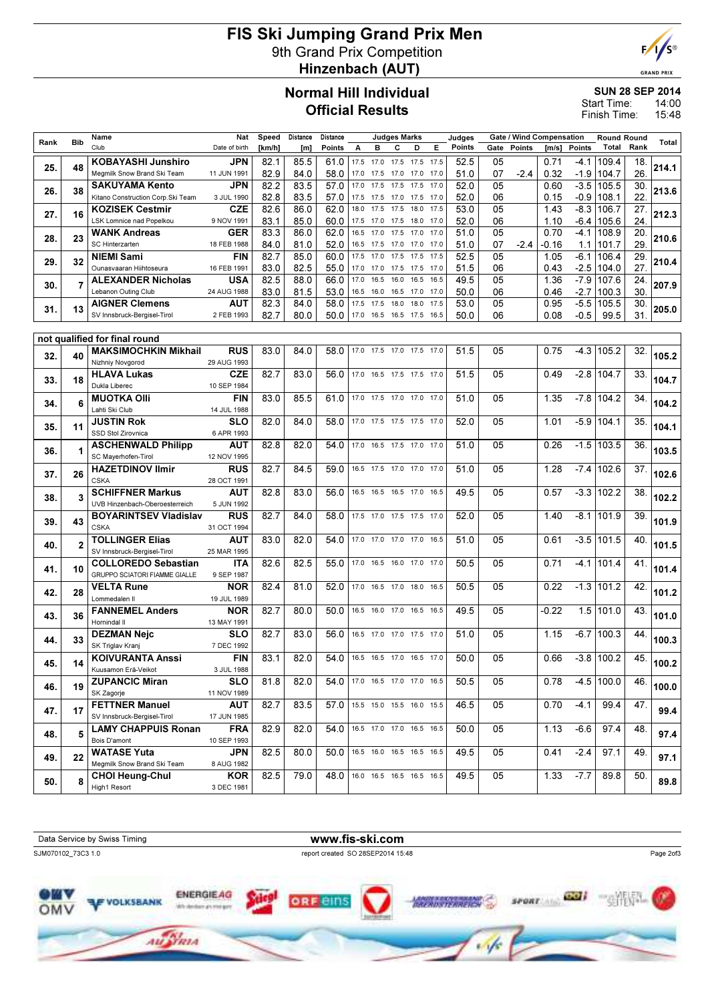# FIS Ski Jumping Grand Prix Men 9th Grand Prix Competition Hinzenbach (AUT)



**GRAND PRIX** 

## Normal Hill Individual Official Results

#### SUN 28 SEP 2014

14:00 15:48 Start Time: Finish Time:

|      | <b>Bib</b>                        | Name                                                      | Nat                       | Speed        | Distance     | Distance      |      |                          | <b>Judges Marks</b> |                   |              | Judges       |          | <b>Gate / Wind Compensation</b> |              |                | <b>Round Round</b> |            |       |
|------|-----------------------------------|-----------------------------------------------------------|---------------------------|--------------|--------------|---------------|------|--------------------------|---------------------|-------------------|--------------|--------------|----------|---------------------------------|--------------|----------------|--------------------|------------|-------|
| Rank |                                   | Club                                                      | Date of birth             | [km/h]       | [m]          | <b>Points</b> | A    | в                        | C                   | D                 | Е            | Points       | Gate     | <b>Points</b>                   | [m/s]        | <b>Points</b>  | Total              | Rank       | Total |
| 25.  | 48                                | <b>KOBAYASHI Junshiro</b>                                 | JPN                       | 82.1         | 85.5         | 61.0          |      | 17.5 17.0                | 17.5                | 17.5              | 17.5         | 52.5         | 05       |                                 | 0.71         | $-4.1$         | 109.4              | 18.        | 214.1 |
|      |                                   | Megmilk Snow Brand Ski Team                               | 11 JUN 1991               | 82.9         | 84.0         | 58.0          | 17.0 | 17.5                     |                     | 17.0 17.0         | 17.0         | 51.0         | 07       | -2.4                            | 0.32         | $-1.9$         | 104.7              | 26         |       |
| 26.  | 38                                | <b>SAKUYAMA Kento</b>                                     | JPN                       | 82.2         | 83.5         | 57.0          | 17.0 | 17.5                     |                     | 17.5 17.5         | 17.0         | 52.0         | 05       |                                 | 0.60         | $-3.5$         | 105.5              | 30.        | 213.6 |
|      |                                   | Kitano Construction Corp. Ski Team                        | 3 JUL 1990                | 82.8         | 83.5         | 57.0          | 17.5 | 17.5                     | 17.0                | 17.5              | 17.0         | 52.0         | 06       |                                 | 0.15         | $-0.9$         | 108.1              | 22         |       |
| 27.  | 16                                | <b>KOZISEK Cestmir</b>                                    | <b>CZE</b>                | 82.6         | 86.0         | 62.0          | 18.0 | 17.5                     | 17.5                | 18.0              | 17.5         | 53.0         | 05       |                                 | 1.43         | $-8.3$         | 106.7              | 27.        | 212.3 |
|      |                                   | LSK Lomnice nad Popelkou<br><b>WANK Andreas</b>           | 9 NOV 1991<br><b>GER</b>  | 83.1<br>83.3 | 85.0<br>86.0 | 60.0<br>62.0  | 16.5 | 17.5 17.0<br>17.0        | 17.5                | 17.5 18.0<br>17.0 | 17.0<br>17.0 | 52.0<br>51.0 | 06<br>05 |                                 | 1.10<br>0.70 | -6.4<br>$-4.1$ | 105.6<br>108.9     | 24.<br>20. |       |
| 28.  | 23                                | SC Hinterzarten                                           | 18 FEB 1988               | 84.0         | 81.0         | 52.0          | 16.5 | 17.5                     |                     | 17.0 17.0         | 17.0         | 51.0         | 07       | -2.4                            | -0.16        | 1.1            | 101.7              | 29         | 210.6 |
|      |                                   | <b>NIEMI Sami</b>                                         | <b>FIN</b>                | 82.7         | 85.0         | 60.0          | 17.5 | 17.0                     | 17.5                | 17.5              | 17.5         | 52.5         | 05       |                                 | 1.05         | $-6.1$         | 106.4              | 29.        |       |
| 29.  | 32                                | Ounasvaaran Hiihtoseura                                   | 16 FEB 1991               | 83.0         | 82.5         | 55.0          | 17.0 | 17.0                     | 17.5                | 17.5              | 17.0         | 51.5         | 06       |                                 | 0.43         | $-2.5$         | 104.0              | 27.        | 210.4 |
|      |                                   | <b>ALEXANDER Nicholas</b>                                 | USA                       | 82.5         | 88.0         | 66.0          | 17.0 | 16.5                     | 16.0                | 16.5              | 16.5         | 49.5         | 05       |                                 | 1.36         | $-7.9$         | 107.6              | 24.        |       |
| 30.  | 7                                 | Lebanon Outing Club                                       | 24 AUG 1988               | 83.0         | 81.5         | 53.0          | 16.5 | 16.0                     | 16.5                | 17.0              | 17.0         | 50.0         | 06       |                                 | 0.46         | $-2.7$         | 100.3              | 30.        | 207.9 |
| 31.  | 13                                | <b>AIGNER Clemens</b>                                     | AUT                       | 82.3         | 84.0         | 58.0          | 17.5 | 17.5                     | 18.0                | 18.0              | 17.5         | 53.0         | 05       |                                 | 0.95         | $-5.5$         | 105.5              | 30.        | 205.0 |
|      |                                   | SV Innsbruck-Bergisel-Tirol                               | 2 FEB 1993                | 82.7         | 80.0         | 50.0          |      | 17.0 16.5 16.5 17.5 16.5 |                     |                   |              | 50.0         | 06       |                                 | 0.08         | $-0.5$         | 99.5               | 31.        |       |
|      |                                   |                                                           |                           |              |              |               |      |                          |                     |                   |              |              |          |                                 |              |                |                    |            |       |
|      |                                   | not qualified for final round                             |                           |              |              |               |      |                          |                     |                   |              |              |          |                                 |              |                |                    |            |       |
| 32.  | 40                                | <b>MAKSIMOCHKIN Mikhail</b><br>Nizhniy Novgorod           | <b>RUS</b><br>29 AUG 1993 | 83.0         | 84.0         | 58.0          |      | 17.0 17.5 17.0 17.5 17.0 |                     |                   |              | 51.5         | 05       |                                 | 0.75         | $-4.3$         | 105.2              | 32.        | 105.2 |
|      |                                   | <b>HLAVA Lukas</b>                                        | <b>CZE</b>                | 82.7         | 83.0         | 56.0          | 17.0 | 16.5                     |                     | 17.5 17.5 17.0    |              | 51.5         | 05       |                                 | 0.49         | $-2.8$         | 104.7              | 33.        |       |
| 33.  | 18                                | Dukla Liberec                                             | 10 SEP 1984               |              |              |               |      |                          |                     |                   |              |              |          |                                 |              |                |                    |            | 104.7 |
|      | 34.<br>6<br>35.<br>11<br>36.<br>1 | <b>MUOTKA OIII</b>                                        | <b>FIN</b>                | 83.0         | 85.5         | 61.0          |      | 17.0 17.5 17.0 17.0 17.0 |                     |                   |              | 51.0         | 05       |                                 | 1.35         | $-7.8$         | 104.2              | 34.        |       |
|      |                                   | Lahti Ski Club                                            | 14 JUL 1988               |              |              |               |      |                          |                     |                   |              |              |          |                                 |              |                |                    |            | 104.2 |
|      |                                   | <b>JUSTIN Rok</b>                                         | SLO                       | 82.0         | 84.0         | 58.0          |      | 17.0 17.5 17.5 17.5 17.0 |                     |                   |              | 52.0         | 05       |                                 | 1.01         | $-5.9$         | 104.1              | 35.        | 104.1 |
|      |                                   | SSD Stol Zirovnica                                        | 6 APR 1993                |              |              |               |      |                          |                     |                   |              |              |          |                                 |              |                |                    |            |       |
|      |                                   | <b>ASCHENWALD Philipp</b>                                 | AUT                       | 82.8         | 82.0         | 54.0          |      | 17.0 16.5 17.5 17.0 17.0 |                     |                   |              | 51.0         | 05       |                                 | 0.26         | $-1.5$         | 103.5              | 36.        | 103.5 |
|      |                                   | SC Mayerhofen-Tirol                                       | 12 NOV 1995               |              |              |               |      |                          |                     |                   |              |              |          |                                 |              |                |                    |            |       |
| 37.  | 26                                | <b>HAZETDINOV Ilmir</b>                                   | <b>RUS</b>                | 82.7         | 84.5         | 59.0          |      | 16.5 17.5 17.0 17.0 17.0 |                     |                   |              | 51.0         | 05       |                                 | 1.28         | $-7.4$         | 102.6              | 37.        | 102.6 |
|      |                                   | <b>CSKA</b><br><b>SCHIFFNER Markus</b>                    | 28 OCT 1991<br>AUT        | 82.8         | 83.0         | 56.0          |      | 16.5 16.5 16.5 17.0 16.5 |                     |                   |              | 49.5         | 05       |                                 | 0.57         | $-3.3$         | 102.2              |            |       |
| 38.  | 3                                 | UVB Hinzenbach-Oberoesterreich                            | 5 JUN 1992                |              |              |               |      |                          |                     |                   |              |              |          |                                 |              |                |                    | 38.        | 102.2 |
|      |                                   | <b>BOYARINTSEV Vladislav</b>                              | <b>RUS</b>                | 82.7         | 84.0         | 58.0          |      | 17.5 17.0 17.5 17.5 17.0 |                     |                   |              | 52.0         | 05       |                                 | 1.40         | $-8.1$         | 101.9              | 39.        |       |
| 39.  | 43                                | <b>CSKA</b>                                               | 31 OCT 1994               |              |              |               |      |                          |                     |                   |              |              |          |                                 |              |                |                    |            | 101.9 |
| 40.  | $\overline{2}$                    | <b>TOLLINGER Elias</b>                                    | AUT                       | 83.0         | 82.0         | 54.0          |      | 17.0 17.0 17.0 17.0 16.5 |                     |                   |              | 51.0         | 05       |                                 | 0.61         | $-3.5$         | 101.5              | 40.        | 101.5 |
|      |                                   | SV Innsbruck-Bergisel-Tirol                               | 25 MAR 1995               |              |              |               |      |                          |                     |                   |              |              |          |                                 |              |                |                    |            |       |
| 41.  | 10                                | <b>COLLOREDO Sebastian</b>                                | <b>ITA</b>                | 82.6         | 82.5         | 55.0          |      | 17.0 16.5                |                     | 16.0 17.0 17.0    |              | 50.5         | 05       |                                 | 0.71         | $-4.1$         | 101.4              | 41.        | 101.4 |
|      |                                   | GRUPPO SCIATORI FIAMME GIALLE                             | 9 SEP 1987                |              |              |               |      |                          |                     |                   |              |              |          |                                 |              |                |                    |            |       |
| 42.  | 28                                | <b>VELTA Rune</b>                                         | <b>NOR</b>                | 82.4         | 81.0         | 52.0          |      | 17.0 16.5 17.0 18.0 16.5 |                     |                   |              | 50.5         | 05       |                                 | 0.22         | $-1.3$         | 101.2              | 42.        | 101.2 |
|      |                                   | Lommedalen II<br><b>FANNEMEL Anders</b>                   | 19 JUL 1989<br><b>NOR</b> | 82.7         | 80.0         | 50.0          |      | 16.5 16.0                |                     | 17.0 16.5 16.5    |              | 49.5         | 05       |                                 | -0.22        | 1.5            | 101.0              | 43.        |       |
| 43.  | 36                                | Hornindal II                                              | 13 MAY 1991               |              |              |               |      |                          |                     |                   |              |              |          |                                 |              |                |                    |            | 101.0 |
|      |                                   | <b>DEZMAN Nejc</b>                                        | SLO                       | 82.7         | 83.0         | 56.0          |      | 16.5 17.0                |                     | 17.0 17.5 17.0    |              | 51.0         | 05       |                                 | 1.15         | $-6.7$         | 100.3              | 44.        |       |
| 44.  | 33                                | SK Triglav Kranj                                          | 7 DEC 1992                |              |              |               |      |                          |                     |                   |              |              |          |                                 |              |                |                    |            | 100.3 |
|      |                                   | <b>KOIVURANTA Anssi</b>                                   | <b>FIN</b>                | 83.1         | 82.0         | 54.0          |      | 16.5 16.5 17.0 16.5 17.0 |                     |                   |              | 50.0         | 05       |                                 | 0.66         |                | $-3.8$ 100.2       | 45.        |       |
| 45.  | 14                                | Kuusamon Erä-Veikot                                       | 3 JUL 1988                |              |              |               |      |                          |                     |                   |              |              |          |                                 |              |                |                    |            | 100.2 |
| 46.  | 19                                | <b>ZUPANCIC Miran</b>                                     | <b>SLO</b>                | 81.8         | 82.0         | 54.0          |      | 17.0 16.5 17.0 17.0 16.5 |                     |                   |              | 50.5         | 05       |                                 | 0.78         |                | $-4.5$ 100.0       | 46.        | 100.0 |
|      |                                   | SK Zagorje                                                | 11 NOV 1989               |              |              |               |      |                          |                     |                   |              |              |          |                                 |              |                |                    |            |       |
| 47.  | 17                                | <b>FETTNER Manuel</b>                                     | <b>AUT</b>                | 82.7         | 83.5         | 57.0          |      | 15.5 15.0 15.5 16.0 15.5 |                     |                   |              | 46.5         | 05       |                                 | 0.70         | $-4.1$         | 99.4               | 47.        | 99.4  |
|      |                                   | SV Innsbruck-Bergisel-Tirol<br><b>LAMY CHAPPUIS Ronan</b> | 17 JUN 1985<br><b>FRA</b> | 82.9         | 82.0         | 54.0          |      | 16.5 17.0 17.0 16.5 16.5 |                     |                   |              | 50.0         | 05       |                                 | 1.13         | $-6.6$         | 97.4               |            |       |
| 48.  | 5                                 | Bois D'amont                                              | 10 SEP 1993               |              |              |               |      |                          |                     |                   |              |              |          |                                 |              |                |                    | 48.        | 97.4  |
|      |                                   | <b>WATASE Yuta</b>                                        | <b>JPN</b>                | 82.5         | 80.0         | 50.0          |      | 16.5 16.0 16.5 16.5 16.5 |                     |                   |              | 49.5         | 05       |                                 | 0.41         | $-2.4$         | 97.1               | 49.        |       |
| 49.  | 22                                | Megmilk Snow Brand Ski Team                               | 8 AUG 1982                |              |              |               |      |                          |                     |                   |              |              |          |                                 |              |                |                    |            | 97.1  |
|      | 8                                 | <b>CHOI Heung-Chul</b>                                    | <b>KOR</b>                | 82.5         | 79.0         | 48.0          |      | 16.0 16.5 16.5 16.5 16.5 |                     |                   |              | 49.5         | 05       |                                 | 1.33         | $-7.7$         | 89.8               | 50.        |       |
| 50.  |                                   | High1 Resort                                              | 3 DEC 1981                |              |              |               |      |                          |                     |                   |              |              |          |                                 |              |                |                    |            | 89.8  |
|      |                                   |                                                           |                           |              |              |               |      |                          |                     |                   |              |              |          |                                 |              |                |                    |            |       |

Data Service by Swiss Timing WWW.fis-ski.com SJM070102\_73C3 1.0 report created SO 28SEP2014 15:48 Page 2of3 seons and **Gill ENERGIEAG** т *<u>RERUSTERREICH SY</u>* 電帯 **VOLKSBANK ORF BIN** OMV White developed and short game Au Stan  $46$